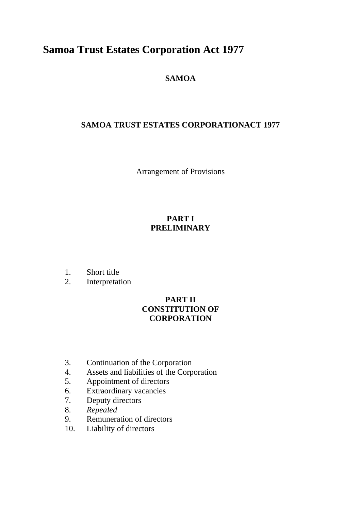# **Samoa Trust Estates Corporation Act 1977**

# **SAMOA**

# **SAMOA TRUST ESTATES CORPORATIONACT 1977**

Arrangement of Provisions

## **PART I PRELIMINARY**

- 1. Short title
- 2. Interpretation

### **PART II CONSTITUTION OF CORPORATION**

- 3. Continuation of the Corporation
- 4. Assets and liabilities of the Corporation
- 5. Appointment of directors
- 6. Extraordinary vacancies
- 7. Deputy directors
- 8. *Repealed*
- 9. Remuneration of directors
- 10. Liability of directors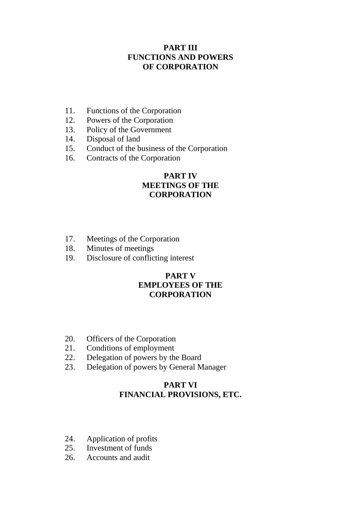#### **PART III FUNCTIONS AND POWERS OF CORPORATION**

- 11. Functions of the Corporation
- 12. Powers of the Corporation
- 13. Policy of the Government
- 14. Disposal of land
- 15. Conduct of the business of the Corporation
- 16. Contracts of the Corporation

#### **PART IV MEETINGS OF THE CORPORATION**

- 17. Meetings of the Corporation
- 18. Minutes of meetings
- 19. Disclosure of conflicting interest

#### **PART V EMPLOYEES OF THE CORPORATION**

- 20. Officers of the Corporation
- 21. Conditions of employment
- 22. Delegation of powers by the Board
- 23. Delegation of powers by General Manager

### **PART VI FINANCIAL PROVISIONS, ETC.**

- 24. Application of profits
- 25. Investment of funds
- 26. Accounts and audit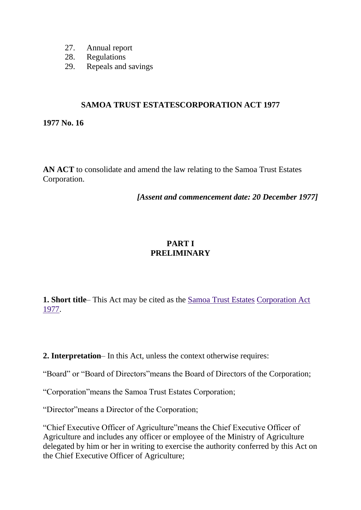- 27. Annual report
- 28. Regulations
- 29. Repeals and savings

#### **SAMOA TRUST ESTATESCORPORATION ACT 1977**

**1977 No. 16**

**AN ACT** to consolidate and amend the law relating to the Samoa Trust Estates Corporation.

*[Assent and commencement date: 20 December 1977]*

### **PART I PRELIMINARY**

**1. Short title**– This Act may be cited as the [Samoa Trust Estates](http://www.paclii.org/ws/legis/consol_act/steca1977373/) [Corporation Act](http://www.paclii.org/ws/legis/consol_act/steca1977373/)  [1977.](http://www.paclii.org/ws/legis/consol_act/steca1977373/)

**2. Interpretation**– In this Act, unless the context otherwise requires:

"Board" or "Board of Directors"means the Board of Directors of the Corporation;

"Corporation"means the Samoa Trust Estates Corporation;

"Director"means a Director of the Corporation;

"Chief Executive Officer of Agriculture"means the Chief Executive Officer of Agriculture and includes any officer or employee of the Ministry of Agriculture delegated by him or her in writing to exercise the authority conferred by this Act on the Chief Executive Officer of Agriculture;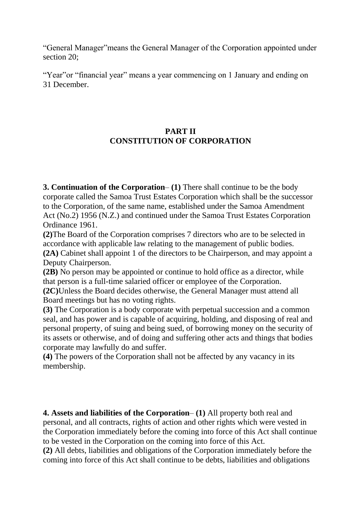"General Manager"means the General Manager of the Corporation appointed under section 20;

"Year" or "financial year" means a year commencing on 1 January and ending on 31 December.

## **PART II CONSTITUTION OF CORPORATION**

**3. Continuation of the Corporation**– **(1)** There shall continue to be the body corporate called the Samoa Trust Estates Corporation which shall be the successor to the Corporation, of the same name, established under the Samoa Amendment Act (No.2) 1956 (N.Z.) and continued under the Samoa Trust Estates Corporation Ordinance 1961.

**(2)**The Board of the Corporation comprises 7 directors who are to be selected in accordance with applicable law relating to the management of public bodies.

**(2A)** Cabinet shall appoint 1 of the directors to be Chairperson, and may appoint a Deputy Chairperson.

**(2B)** No person may be appointed or continue to hold office as a director, while that person is a full-time salaried officer or employee of the Corporation.

**(2C)**Unless the Board decides otherwise, the General Manager must attend all Board meetings but has no voting rights.

**(3)** The Corporation is a body corporate with perpetual succession and a common seal, and has power and is capable of acquiring, holding, and disposing of real and personal property, of suing and being sued, of borrowing money on the security of its assets or otherwise, and of doing and suffering other acts and things that bodies corporate may lawfully do and suffer.

**(4)** The powers of the Corporation shall not be affected by any vacancy in its membership.

**4. Assets and liabilities of the Corporation**– **(1)** All property both real and personal, and all contracts, rights of action and other rights which were vested in the Corporation immediately before the coming into force of this Act shall continue to be vested in the Corporation on the coming into force of this Act.

**(2)** All debts, liabilities and obligations of the Corporation immediately before the coming into force of this Act shall continue to be debts, liabilities and obligations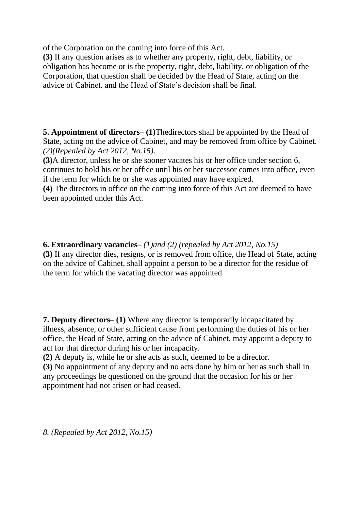of the Corporation on the coming into force of this Act.

**(3)** If any question arises as to whether any property, right, debt, liability, or obligation has become or is the property, right, debt, liability, or obligation of the Corporation, that question shall be decided by the Head of State, acting on the advice of Cabinet, and the Head of State's decision shall be final.

**5. Appointment of directors**– **(1)**Thedirectors shall be appointed by the Head of State, acting on the advice of Cabinet, and may be removed from office by Cabinet. *(2)(Repealed by Act 2012, No.15)*.

**(3)**A director, unless he or she sooner vacates his or her office under section 6, continues to hold his or her office until his or her successor comes into office, even if the term for which he or she was appointed may have expired.

**(4)** The directors in office on the coming into force of this Act are deemed to have been appointed under this Act.

**6. Extraordinary vacancies**– *(1)and (2) (repealed by Act 2012, No.15)* **(3)** If any director dies, resigns, or is removed from office, the Head of State, acting on the advice of Cabinet, shall appoint a person to be a director for the residue of the term for which the vacating director was appointed.

**7. Deputy directors**– **(1)** Where any director is temporarily incapacitated by illness, absence, or other sufficient cause from performing the duties of his or her office, the Head of State, acting on the advice of Cabinet, may appoint a deputy to act for that director during his or her incapacity.

**(2)** A deputy is, while he or she acts as such, deemed to be a director.

**(3)** No appointment of any deputy and no acts done by him or her as such shall in any proceedings be questioned on the ground that the occasion for his or her appointment had not arisen or had ceased.

*8. (Repealed by Act 2012, No.15)*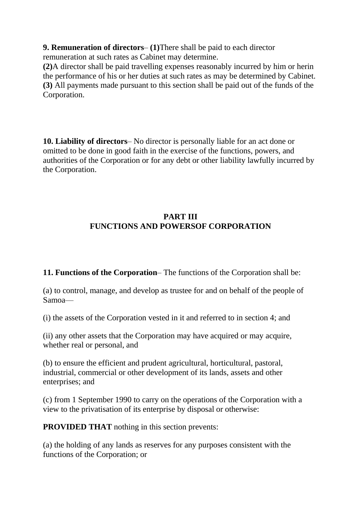**9. Remuneration of directors**– **(1)**There shall be paid to each director remuneration at such rates as Cabinet may determine.

**(2)**A director shall be paid travelling expenses reasonably incurred by him or herin the performance of his or her duties at such rates as may be determined by Cabinet. **(3)** All payments made pursuant to this section shall be paid out of the funds of the Corporation.

**10. Liability of directors**– No director is personally liable for an act done or omitted to be done in good faith in the exercise of the functions, powers, and authorities of the Corporation or for any debt or other liability lawfully incurred by the Corporation.

# **PART III FUNCTIONS AND POWERSOF CORPORATION**

**11. Functions of the Corporation**– The functions of the Corporation shall be:

(a) to control, manage, and develop as trustee for and on behalf of the people of Samoa—

(i) the assets of the Corporation vested in it and referred to in section 4; and

(ii) any other assets that the Corporation may have acquired or may acquire, whether real or personal, and

(b) to ensure the efficient and prudent agricultural, horticultural, pastoral, industrial, commercial or other development of its lands, assets and other enterprises; and

(c) from 1 September 1990 to carry on the operations of the Corporation with a view to the privatisation of its enterprise by disposal or otherwise:

**PROVIDED THAT** nothing in this section prevents:

(a) the holding of any lands as reserves for any purposes consistent with the functions of the Corporation; or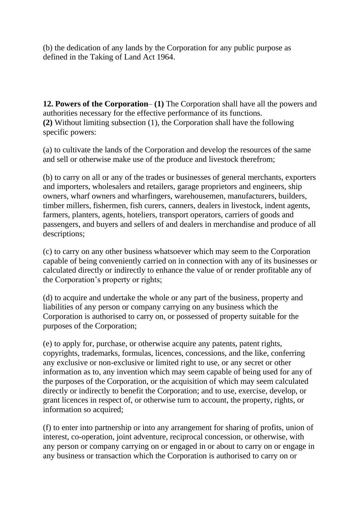(b) the dedication of any lands by the Corporation for any public purpose as defined in the Taking of Land Act 1964.

**12. Powers of the Corporation**– **(1)** The Corporation shall have all the powers and authorities necessary for the effective performance of its functions. **(2)** Without limiting subsection (1), the Corporation shall have the following specific powers:

(a) to cultivate the lands of the Corporation and develop the resources of the same and sell or otherwise make use of the produce and livestock therefrom;

(b) to carry on all or any of the trades or businesses of general merchants, exporters and importers, wholesalers and retailers, garage proprietors and engineers, ship owners, wharf owners and wharfingers, warehousemen, manufacturers, builders, timber millers, fishermen, fish curers, canners, dealers in livestock, indent agents, farmers, planters, agents, hoteliers, transport operators, carriers of goods and passengers, and buyers and sellers of and dealers in merchandise and produce of all descriptions;

(c) to carry on any other business whatsoever which may seem to the Corporation capable of being conveniently carried on in connection with any of its businesses or calculated directly or indirectly to enhance the value of or render profitable any of the Corporation's property or rights;

(d) to acquire and undertake the whole or any part of the business, property and liabilities of any person or company carrying on any business which the Corporation is authorised to carry on, or possessed of property suitable for the purposes of the Corporation;

(e) to apply for, purchase, or otherwise acquire any patents, patent rights, copyrights, trademarks, formulas, licences, concessions, and the like, conferring any exclusive or non-exclusive or limited right to use, or any secret or other information as to, any invention which may seem capable of being used for any of the purposes of the Corporation, or the acquisition of which may seem calculated directly or indirectly to benefit the Corporation; and to use, exercise, develop, or grant licences in respect of, or otherwise turn to account, the property, rights, or information so acquired;

(f) to enter into partnership or into any arrangement for sharing of profits, union of interest, co-operation, joint adventure, reciprocal concession, or otherwise, with any person or company carrying on or engaged in or about to carry on or engage in any business or transaction which the Corporation is authorised to carry on or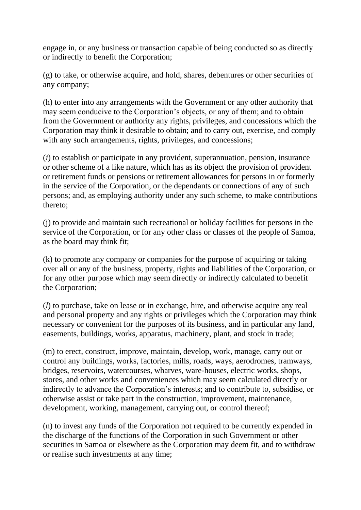engage in, or any business or transaction capable of being conducted so as directly or indirectly to benefit the Corporation;

(g) to take, or otherwise acquire, and hold, shares, debentures or other securities of any company;

(h) to enter into any arrangements with the Government or any other authority that may seem conducive to the Corporation's objects, or any of them; and to obtain from the Government or authority any rights, privileges, and concessions which the Corporation may think it desirable to obtain; and to carry out, exercise, and comply with any such arrangements, rights, privileges, and concessions;

(*i*) to establish or participate in any provident, superannuation, pension, insurance or other scheme of a like nature, which has as its object the provision of provident or retirement funds or pensions or retirement allowances for persons in or formerly in the service of the Corporation, or the dependants or connections of any of such persons; and, as employing authority under any such scheme, to make contributions thereto;

(j) to provide and maintain such recreational or holiday facilities for persons in the service of the Corporation, or for any other class or classes of the people of Samoa, as the board may think fit;

(k) to promote any company or companies for the purpose of acquiring or taking over all or any of the business, property, rights and liabilities of the Corporation, or for any other purpose which may seem directly or indirectly calculated to benefit the Corporation;

(*l*) to purchase, take on lease or in exchange, hire, and otherwise acquire any real and personal property and any rights or privileges which the Corporation may think necessary or convenient for the purposes of its business, and in particular any land, easements, buildings, works, apparatus, machinery, plant, and stock in trade;

(m) to erect, construct, improve, maintain, develop, work, manage, carry out or control any buildings, works, factories, mills, roads, ways, aerodromes, tramways, bridges, reservoirs, watercourses, wharves, ware-houses, electric works, shops, stores, and other works and conveniences which may seem calculated directly or indirectly to advance the Corporation's interests; and to contribute to, subsidise, or otherwise assist or take part in the construction, improvement, maintenance, development, working, management, carrying out, or control thereof;

(n) to invest any funds of the Corporation not required to be currently expended in the discharge of the functions of the Corporation in such Government or other securities in Samoa or elsewhere as the Corporation may deem fit, and to withdraw or realise such investments at any time;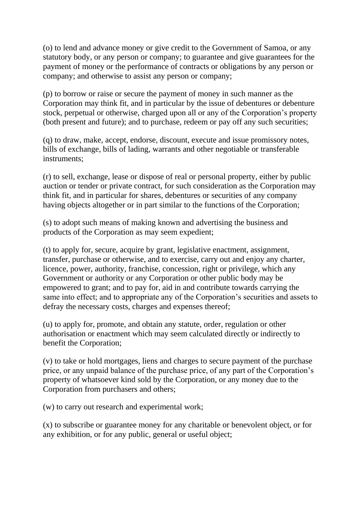(o) to lend and advance money or give credit to the Government of Samoa, or any statutory body, or any person or company; to guarantee and give guarantees for the payment of money or the performance of contracts or obligations by any person or company; and otherwise to assist any person or company;

(p) to borrow or raise or secure the payment of money in such manner as the Corporation may think fit, and in particular by the issue of debentures or debenture stock, perpetual or otherwise, charged upon all or any of the Corporation's property (both present and future); and to purchase, redeem or pay off any such securities;

(q) to draw, make, accept, endorse, discount, execute and issue promissory notes, bills of exchange, bills of lading, warrants and other negotiable or transferable instruments;

(r) to sell, exchange, lease or dispose of real or personal property, either by public auction or tender or private contract, for such consideration as the Corporation may think fit, and in particular for shares, debentures or securities of any company having objects altogether or in part similar to the functions of the Corporation;

(s) to adopt such means of making known and advertising the business and products of the Corporation as may seem expedient;

(t) to apply for, secure, acquire by grant, legislative enactment, assignment, transfer, purchase or otherwise, and to exercise, carry out and enjoy any charter, licence, power, authority, franchise, concession, right or privilege, which any Government or authority or any Corporation or other public body may be empowered to grant; and to pay for, aid in and contribute towards carrying the same into effect; and to appropriate any of the Corporation's securities and assets to defray the necessary costs, charges and expenses thereof;

(u) to apply for, promote, and obtain any statute, order, regulation or other authorisation or enactment which may seem calculated directly or indirectly to benefit the Corporation;

(v) to take or hold mortgages, liens and charges to secure payment of the purchase price, or any unpaid balance of the purchase price, of any part of the Corporation's property of whatsoever kind sold by the Corporation, or any money due to the Corporation from purchasers and others;

(w) to carry out research and experimental work;

(x) to subscribe or guarantee money for any charitable or benevolent object, or for any exhibition, or for any public, general or useful object;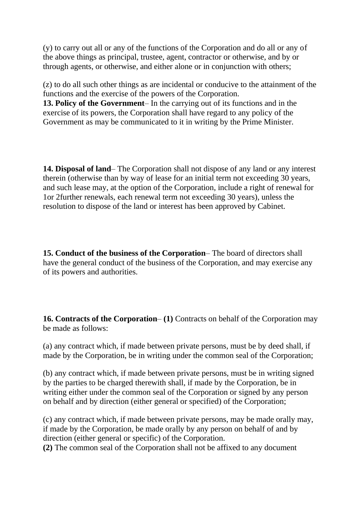(y) to carry out all or any of the functions of the Corporation and do all or any of the above things as principal, trustee, agent, contractor or otherwise, and by or through agents, or otherwise, and either alone or in conjunction with others;

(z) to do all such other things as are incidental or conducive to the attainment of the functions and the exercise of the powers of the Corporation.

**13. Policy of the Government**– In the carrying out of its functions and in the exercise of its powers, the Corporation shall have regard to any policy of the Government as may be communicated to it in writing by the Prime Minister.

**14. Disposal of land**– The Corporation shall not dispose of any land or any interest therein (otherwise than by way of lease for an initial term not exceeding 30 years, and such lease may, at the option of the Corporation, include a right of renewal for 1or 2further renewals, each renewal term not exceeding 30 years), unless the resolution to dispose of the land or interest has been approved by Cabinet.

**15. Conduct of the business of the Corporation**– The board of directors shall have the general conduct of the business of the Corporation, and may exercise any of its powers and authorities.

**16. Contracts of the Corporation**– **(1)** Contracts on behalf of the Corporation may be made as follows:

(a) any contract which, if made between private persons, must be by deed shall, if made by the Corporation, be in writing under the common seal of the Corporation;

(b) any contract which, if made between private persons, must be in writing signed by the parties to be charged therewith shall, if made by the Corporation, be in writing either under the common seal of the Corporation or signed by any person on behalf and by direction (either general or specified) of the Corporation;

(c) any contract which, if made between private persons, may be made orally may, if made by the Corporation, be made orally by any person on behalf of and by direction (either general or specific) of the Corporation.

**(2)** The common seal of the Corporation shall not be affixed to any document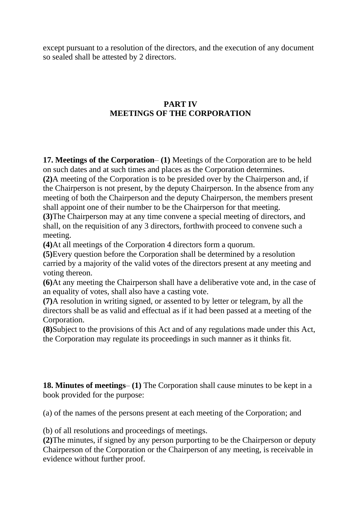except pursuant to a resolution of the directors, and the execution of any document so sealed shall be attested by 2 directors.

## **PART IV MEETINGS OF THE CORPORATION**

**17. Meetings of the Corporation**– **(1)** Meetings of the Corporation are to be held on such dates and at such times and places as the Corporation determines.

**(2)**A meeting of the Corporation is to be presided over by the Chairperson and, if the Chairperson is not present, by the deputy Chairperson. In the absence from any meeting of both the Chairperson and the deputy Chairperson, the members present shall appoint one of their number to be the Chairperson for that meeting.

**(3)**The Chairperson may at any time convene a special meeting of directors, and shall, on the requisition of any 3 directors, forthwith proceed to convene such a meeting.

**(4)**At all meetings of the Corporation 4 directors form a quorum.

**(5)**Every question before the Corporation shall be determined by a resolution carried by a majority of the valid votes of the directors present at any meeting and voting thereon.

**(6)**At any meeting the Chairperson shall have a deliberative vote and, in the case of an equality of votes, shall also have a casting vote.

**(7)**A resolution in writing signed, or assented to by letter or telegram, by all the directors shall be as valid and effectual as if it had been passed at a meeting of the Corporation.

**(8)**Subject to the provisions of this Act and of any regulations made under this Act, the Corporation may regulate its proceedings in such manner as it thinks fit.

**18. Minutes of meetings**– **(1)** The Corporation shall cause minutes to be kept in a book provided for the purpose:

(a) of the names of the persons present at each meeting of the Corporation; and

(b) of all resolutions and proceedings of meetings.

**(2)**The minutes, if signed by any person purporting to be the Chairperson or deputy Chairperson of the Corporation or the Chairperson of any meeting, is receivable in evidence without further proof.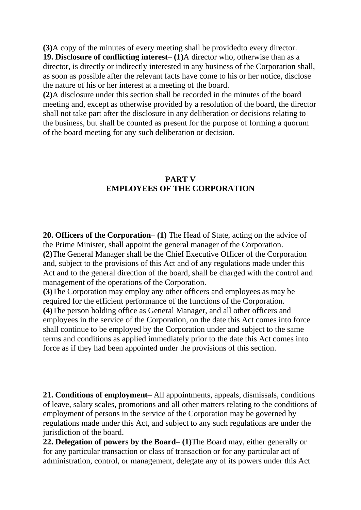**(3)**A copy of the minutes of every meeting shall be providedto every director. **19. Disclosure of conflicting interest**– **(1)**A director who, otherwise than as a director, is directly or indirectly interested in any business of the Corporation shall, as soon as possible after the relevant facts have come to his or her notice, disclose the nature of his or her interest at a meeting of the board.

**(2)**A disclosure under this section shall be recorded in the minutes of the board meeting and, except as otherwise provided by a resolution of the board, the director shall not take part after the disclosure in any deliberation or decisions relating to the business, but shall be counted as present for the purpose of forming a quorum of the board meeting for any such deliberation or decision.

#### **PART V EMPLOYEES OF THE CORPORATION**

**20. Officers of the Corporation**– **(1)** The Head of State, acting on the advice of the Prime Minister, shall appoint the general manager of the Corporation. **(2)**The General Manager shall be the Chief Executive Officer of the Corporation and, subject to the provisions of this Act and of any regulations made under this Act and to the general direction of the board, shall be charged with the control and management of the operations of the Corporation.

**(3)**The Corporation may employ any other officers and employees as may be required for the efficient performance of the functions of the Corporation. **(4)**The person holding office as General Manager, and all other officers and employees in the service of the Corporation, on the date this Act comes into force shall continue to be employed by the Corporation under and subject to the same terms and conditions as applied immediately prior to the date this Act comes into force as if they had been appointed under the provisions of this section.

**21. Conditions of employment**– All appointments, appeals, dismissals, conditions of leave, salary scales, promotions and all other matters relating to the conditions of employment of persons in the service of the Corporation may be governed by regulations made under this Act, and subject to any such regulations are under the jurisdiction of the board.

**22. Delegation of powers by the Board**– **(1)**The Board may, either generally or for any particular transaction or class of transaction or for any particular act of administration, control, or management, delegate any of its powers under this Act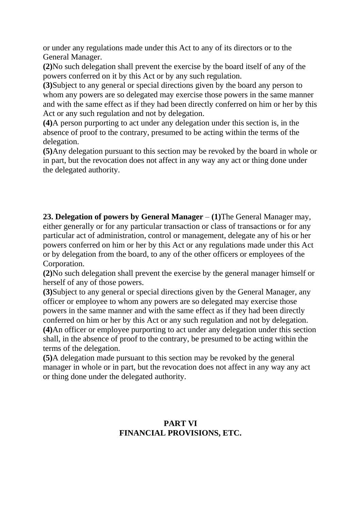or under any regulations made under this Act to any of its directors or to the General Manager.

**(2)**No such delegation shall prevent the exercise by the board itself of any of the powers conferred on it by this Act or by any such regulation.

**(3)**Subject to any general or special directions given by the board any person to whom any powers are so delegated may exercise those powers in the same manner and with the same effect as if they had been directly conferred on him or her by this Act or any such regulation and not by delegation.

**(4)**A person purporting to act under any delegation under this section is, in the absence of proof to the contrary, presumed to be acting within the terms of the delegation.

**(5)**Any delegation pursuant to this section may be revoked by the board in whole or in part, but the revocation does not affect in any way any act or thing done under the delegated authority.

**23. Delegation of powers by General Manager** – **(1)**The General Manager may, either generally or for any particular transaction or class of transactions or for any particular act of administration, control or management, delegate any of his or her powers conferred on him or her by this Act or any regulations made under this Act or by delegation from the board, to any of the other officers or employees of the Corporation.

**(2)**No such delegation shall prevent the exercise by the general manager himself or herself of any of those powers.

**(3)**Subject to any general or special directions given by the General Manager, any officer or employee to whom any powers are so delegated may exercise those powers in the same manner and with the same effect as if they had been directly conferred on him or her by this Act or any such regulation and not by delegation. **(4)**An officer or employee purporting to act under any delegation under this section shall, in the absence of proof to the contrary, be presumed to be acting within the terms of the delegation.

**(5)**A delegation made pursuant to this section may be revoked by the general manager in whole or in part, but the revocation does not affect in any way any act or thing done under the delegated authority.

### **PART VI FINANCIAL PROVISIONS, ETC.**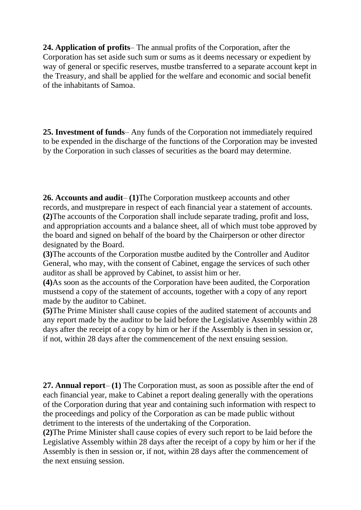**24. Application of profits**– The annual profits of the Corporation, after the Corporation has set aside such sum or sums as it deems necessary or expedient by way of general or specific reserves, mustbe transferred to a separate account kept in the Treasury, and shall be applied for the welfare and economic and social benefit of the inhabitants of Samoa.

**25. Investment of funds**– Any funds of the Corporation not immediately required to be expended in the discharge of the functions of the Corporation may be invested by the Corporation in such classes of securities as the board may determine.

**26. Accounts and audit**– **(1)**The Corporation mustkeep accounts and other records, and mustprepare in respect of each financial year a statement of accounts. **(2)**The accounts of the Corporation shall include separate trading, profit and loss, and appropriation accounts and a balance sheet, all of which must tobe approved by the board and signed on behalf of the board by the Chairperson or other director designated by the Board.

**(3)**The accounts of the Corporation mustbe audited by the Controller and Auditor General, who may, with the consent of Cabinet, engage the services of such other auditor as shall be approved by Cabinet, to assist him or her.

**(4)**As soon as the accounts of the Corporation have been audited, the Corporation mustsend a copy of the statement of accounts, together with a copy of any report made by the auditor to Cabinet.

**(5)**The Prime Minister shall cause copies of the audited statement of accounts and any report made by the auditor to be laid before the Legislative Assembly within 28 days after the receipt of a copy by him or her if the Assembly is then in session or, if not, within 28 days after the commencement of the next ensuing session.

**27. Annual report**– **(1)** The Corporation must, as soon as possible after the end of each financial year, make to Cabinet a report dealing generally with the operations of the Corporation during that year and containing such information with respect to the proceedings and policy of the Corporation as can be made public without detriment to the interests of the undertaking of the Corporation.

**(2)**The Prime Minister shall cause copies of every such report to be laid before the Legislative Assembly within 28 days after the receipt of a copy by him or her if the Assembly is then in session or, if not, within 28 days after the commencement of the next ensuing session.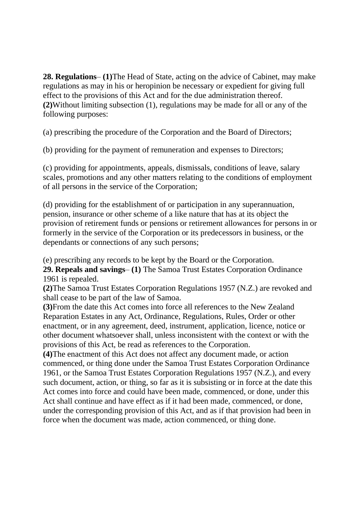**28. Regulations**– **(1)**The Head of State, acting on the advice of Cabinet, may make regulations as may in his or heropinion be necessary or expedient for giving full effect to the provisions of this Act and for the due administration thereof. **(2)**Without limiting subsection (1), regulations may be made for all or any of the following purposes:

(a) prescribing the procedure of the Corporation and the Board of Directors;

(b) providing for the payment of remuneration and expenses to Directors;

(c) providing for appointments, appeals, dismissals, conditions of leave, salary scales, promotions and any other matters relating to the conditions of employment of all persons in the service of the Corporation;

(d) providing for the establishment of or participation in any superannuation, pension, insurance or other scheme of a like nature that has at its object the provision of retirement funds or pensions or retirement allowances for persons in or formerly in the service of the Corporation or its predecessors in business, or the dependants or connections of any such persons;

(e) prescribing any records to be kept by the Board or the Corporation.

**29. Repeals and savings**– **(1)** The Samoa Trust Estates Corporation Ordinance 1961 is repealed.

**(2)**The Samoa Trust Estates Corporation Regulations 1957 (N.Z.) are revoked and shall cease to be part of the law of Samoa.

**(3)**From the date this Act comes into force all references to the New Zealand Reparation Estates in any Act, Ordinance, Regulations, Rules, Order or other enactment, or in any agreement, deed, instrument, application, licence, notice or other document whatsoever shall, unless inconsistent with the context or with the provisions of this Act, be read as references to the Corporation.

**(4)**The enactment of this Act does not affect any document made, or action commenced, or thing done under the Samoa Trust Estates Corporation Ordinance 1961, or the Samoa Trust Estates Corporation Regulations 1957 (N.Z.), and every such document, action, or thing, so far as it is subsisting or in force at the date this Act comes into force and could have been made, commenced, or done, under this Act shall continue and have effect as if it had been made, commenced, or done, under the corresponding provision of this Act, and as if that provision had been in force when the document was made, action commenced, or thing done.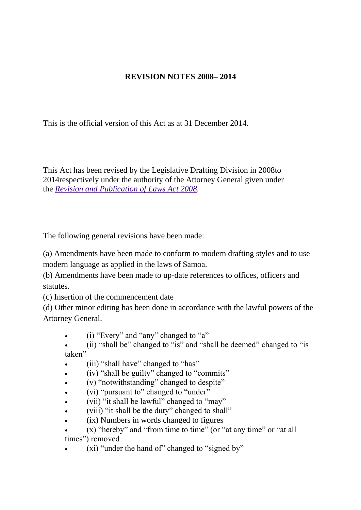# **REVISION NOTES 2008– 2014**

This is the official version of this Act as at 31 December 2014.

This Act has been revised by the Legislative Drafting Division in 2008to 2014respectively under the authority of the Attorney General given under the *[Revision and Publication of Laws Act 2008.](http://www.paclii.org/ws/legis/consol_act/rapola2008321/)*

The following general revisions have been made:

(a) Amendments have been made to conform to modern drafting styles and to use modern language as applied in the laws of Samoa.

(b) Amendments have been made to up-date references to offices, officers and statutes.

(c) Insertion of the commencement date

(d) Other minor editing has been done in accordance with the lawful powers of the Attorney General.

- (i) "Every" and "any" changed to "a"
- (ii) "shall be" changed to "is" and "shall be deemed" changed to "is taken"
- (iii) "shall have" changed to "has"
- (iv) "shall be guilty" changed to "commits"
- (v) "notwithstanding" changed to despite"
- (vi) "pursuant to" changed to "under"
- (vii) "it shall be lawful" changed to "may"
- (viii) "it shall be the duty" changed to shall"
- (ix) Numbers in words changed to figures
- (x) "hereby" and "from time to time" (or "at any time" or "at all times") removed
- (xi) "under the hand of" changed to "signed by"